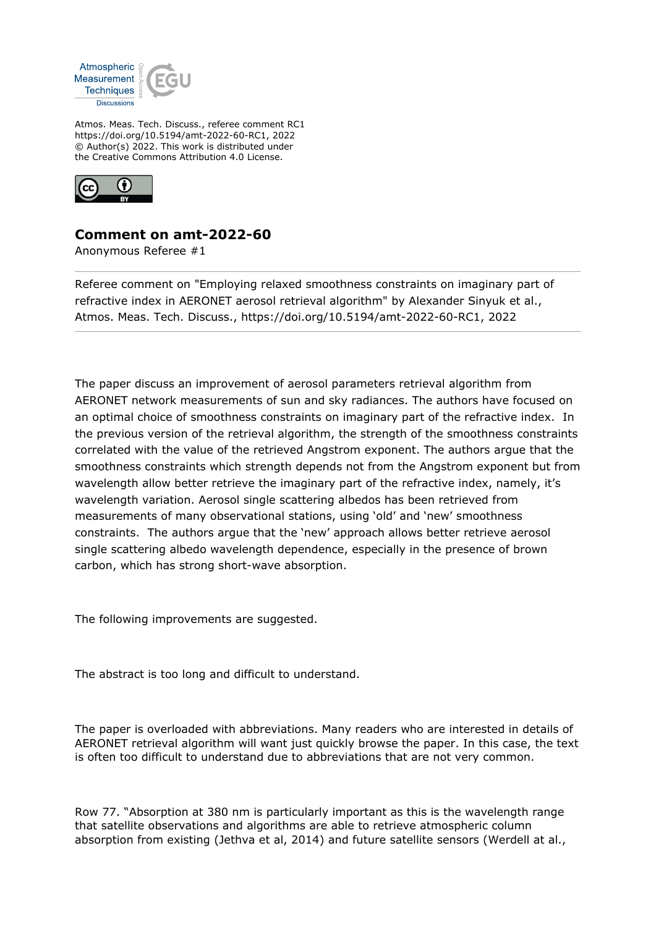

Atmos. Meas. Tech. Discuss., referee comment RC1 https://doi.org/10.5194/amt-2022-60-RC1, 2022 © Author(s) 2022. This work is distributed under the Creative Commons Attribution 4.0 License.



## **Comment on amt-2022-60**

Anonymous Referee #1

Referee comment on "Employing relaxed smoothness constraints on imaginary part of refractive index in AERONET aerosol retrieval algorithm" by Alexander Sinyuk et al., Atmos. Meas. Tech. Discuss., https://doi.org/10.5194/amt-2022-60-RC1, 2022

The paper discuss an improvement of aerosol parameters retrieval algorithm from AERONET network measurements of sun and sky radiances. The authors have focused on an optimal choice of smoothness constraints on imaginary part of the refractive index. In the previous version of the retrieval algorithm, the strength of the smoothness constraints correlated with the value of the retrieved Angstrom exponent. The authors argue that the smoothness constraints which strength depends not from the Angstrom exponent but from wavelength allow better retrieve the imaginary part of the refractive index, namely, it's wavelength variation. Aerosol single scattering albedos has been retrieved from measurements of many observational stations, using 'old' and 'new' smoothness constraints. The authors argue that the 'new' approach allows better retrieve aerosol single scattering albedo wavelength dependence, especially in the presence of brown carbon, which has strong short-wave absorption.

The following improvements are suggested.

The abstract is too long and difficult to understand.

The paper is overloaded with abbreviations. Many readers who are interested in details of AERONET retrieval algorithm will want just quickly browse the paper. In this case, the text is often too difficult to understand due to abbreviations that are not very common.

Row 77. "Absorption at 380 nm is particularly important as this is the wavelength range that satellite observations and algorithms are able to retrieve atmospheric column absorption from existing (Jethva et al, 2014) and future satellite sensors (Werdell at al.,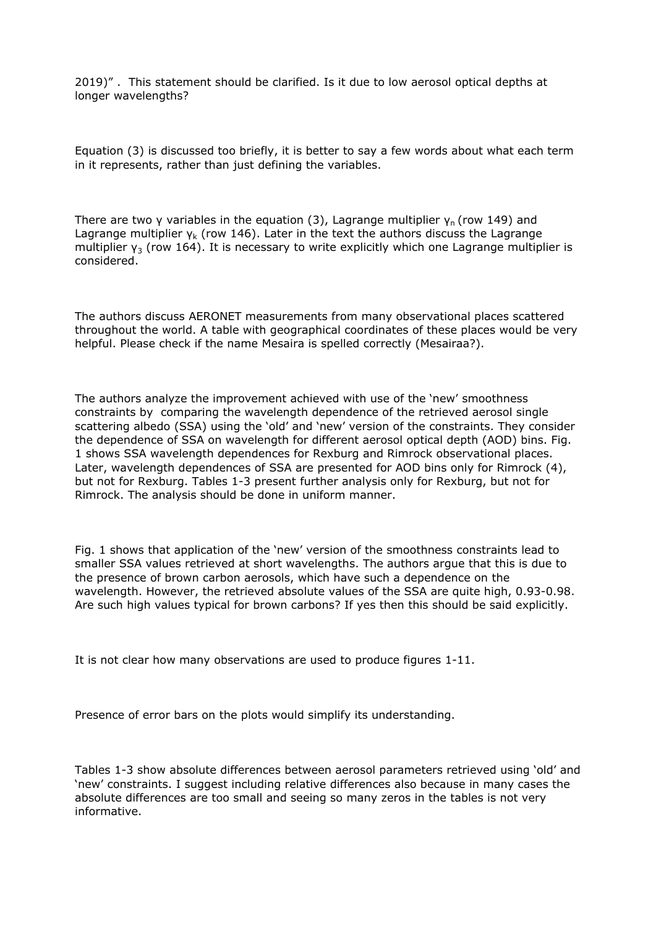2019)" . This statement should be clarified. Is it due to low aerosol optical depths at longer wavelengths?

Equation (3) is discussed too briefly, it is better to say a few words about what each term in it represents, rather than just defining the variables.

There are two γ variables in the equation (3), Lagrange multiplier  $\gamma_n$  (row 149) and Lagrange multiplier  $\gamma_{\rm k}$  (row 146). Later in the text the authors discuss the Lagrange multiplier  $y_3$  (row 164). It is necessary to write explicitly which one Lagrange multiplier is considered.

The authors discuss AERONET measurements from many observational places scattered throughout the world. A table with geographical coordinates of these places would be very helpful. Please check if the name Mesaira is spelled correctly (Mesairaa?).

The authors analyze the improvement achieved with use of the 'new' smoothness constraints by comparing the wavelength dependence of the retrieved aerosol single scattering albedo (SSA) using the 'old' and 'new' version of the constraints. They consider the dependence of SSA on wavelength for different aerosol optical depth (AOD) bins. Fig. 1 shows SSA wavelength dependences for Rexburg and Rimrock observational places. Later, wavelength dependences of SSA are presented for AOD bins only for Rimrock (4), but not for Rexburg. Tables 1-3 present further analysis only for Rexburg, but not for Rimrock. The analysis should be done in uniform manner.

Fig. 1 shows that application of the 'new' version of the smoothness constraints lead to smaller SSA values retrieved at short wavelengths. The authors argue that this is due to the presence of brown carbon aerosols, which have such a dependence on the wavelength. However, the retrieved absolute values of the SSA are quite high, 0.93-0.98. Are such high values typical for brown carbons? If yes then this should be said explicitly.

It is not clear how many observations are used to produce figures 1-11.

Presence of error bars on the plots would simplify its understanding.

Tables 1-3 show absolute differences between aerosol parameters retrieved using 'old' and 'new' constraints. I suggest including relative differences also because in many cases the absolute differences are too small and seeing so many zeros in the tables is not very informative.